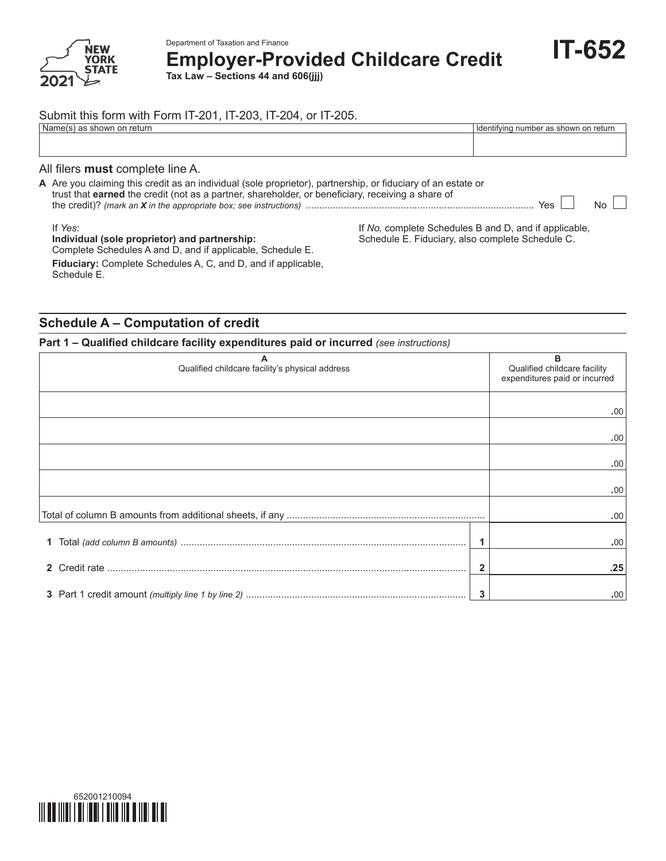

Department of Taxation and Finance **Employer-Provided Childcare Credit**

**Tax Law – Sections 44 and 606(jjj)**

### Submit this form with Form IT‑201, IT‑203, IT‑204, or IT‑205.

| ±Name⊾<br>returr<br>showr<br>.on<br>. | Identifying<br>number as<br>r as shown on return |
|---------------------------------------|--------------------------------------------------|
|                                       |                                                  |
|                                       |                                                  |

#### All filers **must** complete line A.

**A** Are you claiming this credit as an individual (sole proprietor), partnership, or fiduciary of an estate or trust that **earned** the credit (not as a partner, shareholder, or beneficiary, receiving a share of the credit)? *(mark an X in the appropriate box; see instructions)* .................................................................................... Yes No

If *Yes*:

### **Individual (sole proprietor) and partnership:**

If *No,* complete Schedules B and D, and if applicable, Schedule E. Fiduciary, also complete Schedule C.

**IT-652**

Complete Schedules A and D, and if applicable, Schedule E. **Fiduciary:** Complete Schedules A, C, and D, and if applicable, Schedule E.

### **Schedule A – Computation of credit**

### **Part 1 – Qualified childcare facility expenditures paid or incurred** *(see instructions)*

| Qualified childcare facility's physical address | в<br>Qualified childcare facility<br>expenditures paid or incurred |      |
|-------------------------------------------------|--------------------------------------------------------------------|------|
|                                                 |                                                                    | .00  |
|                                                 |                                                                    | .00  |
|                                                 |                                                                    | .00  |
|                                                 |                                                                    | .00. |
|                                                 |                                                                    | .00  |
| 1.                                              | 1                                                                  | .00. |
|                                                 | 2                                                                  | .25  |
|                                                 | 3                                                                  | .00. |

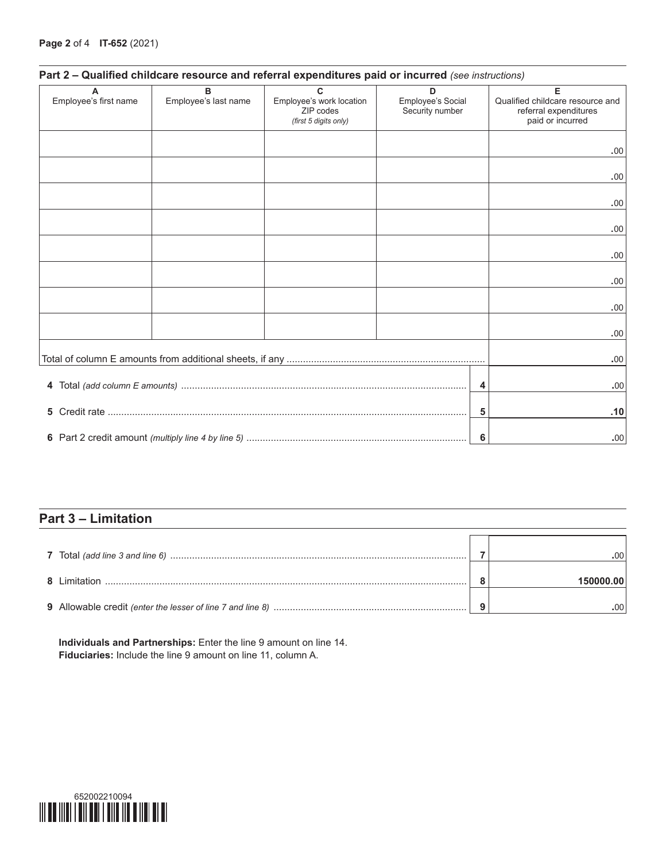| Part 2 - Qualified childcare resource and referral expenditures paid or incurred (see instructions) |  |  |
|-----------------------------------------------------------------------------------------------------|--|--|
|-----------------------------------------------------------------------------------------------------|--|--|

| A                     | B                    | $\mathbf{C}$                                                   | D                                    | Е                                                                             |
|-----------------------|----------------------|----------------------------------------------------------------|--------------------------------------|-------------------------------------------------------------------------------|
| Employee's first name | Employee's last name | Employee's work location<br>ZIP codes<br>(first 5 digits only) | Employee's Social<br>Security number | Qualified childcare resource and<br>referral expenditures<br>paid or incurred |
|                       |                      |                                                                |                                      |                                                                               |
|                       |                      |                                                                |                                      | .00                                                                           |
|                       |                      |                                                                |                                      | .00                                                                           |
|                       |                      |                                                                |                                      |                                                                               |
|                       |                      |                                                                |                                      | .00                                                                           |
|                       |                      |                                                                |                                      | .00                                                                           |
|                       |                      |                                                                |                                      | .00                                                                           |
|                       |                      |                                                                |                                      |                                                                               |
|                       |                      |                                                                |                                      | .00                                                                           |
|                       |                      |                                                                |                                      | .00                                                                           |
|                       |                      |                                                                |                                      |                                                                               |
|                       |                      |                                                                |                                      | .00                                                                           |
|                       |                      |                                                                |                                      | .00                                                                           |
|                       |                      |                                                                |                                      |                                                                               |
|                       |                      |                                                                | 4                                    | .00                                                                           |
| 5                     |                      |                                                                | 5                                    | .10                                                                           |
|                       |                      |                                                                | 6                                    | .00.                                                                          |

# **Part 3 – Limitation**

| 8 Limitation | 150000.00 |
|--------------|-----------|
|              |           |

**Individuals and Partnerships:** Enter the line 9 amount on line 14. **Fiduciaries:** Include the line 9 amount on line 11, column A.

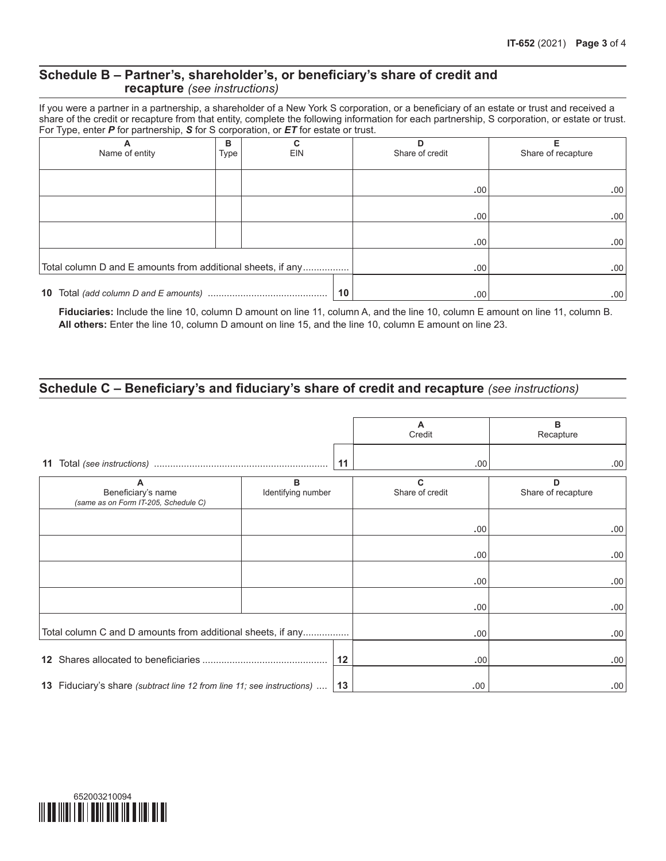### **Schedule B – Partner's, shareholder's, or beneficiary's share of credit and recapture** *(see instructions)*

If you were a partner in a partnership, a shareholder of a New York S corporation, or a beneficiary of an estate or trust and received a share of the credit or recapture from that entity, complete the following information for each partnership, S corporation, or estate or trust. For Type, enter *P* for partnership, *S* for S corporation, or *ET* for estate or trust.

| А<br>Name of entity                                         | в<br>Type | C<br>EIN |    | D<br>Share of credit | Share of recapture |
|-------------------------------------------------------------|-----------|----------|----|----------------------|--------------------|
|                                                             |           |          |    |                      |                    |
|                                                             |           |          |    | .00.                 | .00 <sub>1</sub>   |
|                                                             |           |          |    |                      |                    |
|                                                             |           |          |    | .00.                 | .00 <sub>1</sub>   |
|                                                             |           |          |    | .00.                 | .00 <sub>1</sub>   |
| Total column D and E amounts from additional sheets, if any |           |          |    | .00.                 | .00 <sub>1</sub>   |
| 10                                                          |           |          | 10 | .00.                 | .00 <sub>1</sub>   |

**Fiduciaries:** Include the line 10, column D amount on line 11, column A, and the line 10, column E amount on line 11, column B. **All others:** Enter the line 10, column D amount on line 15, and the line 10, column E amount on line 23.

## **Schedule C – Beneficiary's and fiduciary's share of credit and recapture** *(see instructions)*

|                                                                               |                         |    | A<br>Credit          | в<br>Recapture          |
|-------------------------------------------------------------------------------|-------------------------|----|----------------------|-------------------------|
| 11                                                                            |                         | 11 | .00                  | .00 <sub>1</sub>        |
| A<br>Beneficiary's name<br>(same as on Form IT-205, Schedule C)               | B<br>Identifying number |    | C<br>Share of credit | D<br>Share of recapture |
|                                                                               |                         |    | .00                  | .00.                    |
|                                                                               |                         |    | .00                  | .00.                    |
|                                                                               |                         |    | .00                  | .00.                    |
|                                                                               |                         |    | .00                  | .00.                    |
| Total column C and D amounts from additional sheets, if any                   |                         |    | .00                  | .00.                    |
| 12 <sup>12</sup>                                                              |                         | 12 | .00 <sub>1</sub>     | .00.                    |
| <b>13</b> Fiduciary's share (subtract line 12 from line 11; see instructions) |                         | 13 | .00.                 | .00.                    |